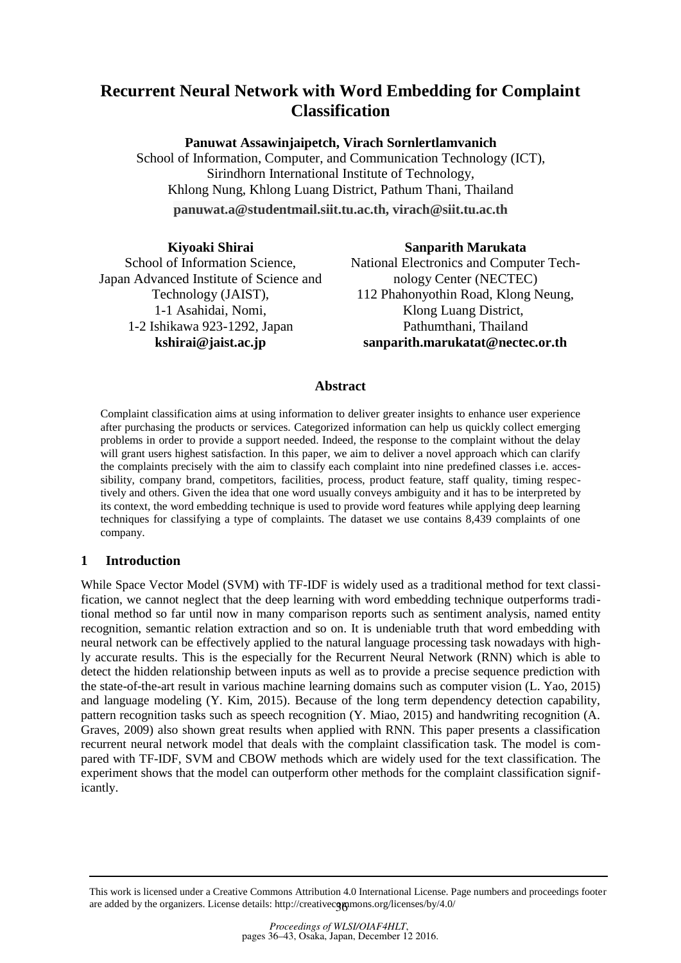# **Recurrent Neural Network with Word Embedding for Complaint Classification**

**Panuwat Assawinjaipetch, Virach Sornlertlamvanich**

School of Information, Computer, and Communication Technology (ICT), Sirindhorn International Institute of Technology, Khlong Nung, Khlong Luang District, Pathum Thani, Thailand **panuwat.a@studentmail.siit.tu.ac.th, virach@siit.tu.ac.th**

**Kiyoaki Shirai** School of Information Science, Japan Advanced Institute of Science and Technology (JAIST), 1-1 Asahidai, Nomi, 1-2 Ishikawa 923-1292, Japan **kshirai@jaist.ac.jp**

**Sanparith Marukata** National Electronics and Computer Technology Center (NECTEC) 112 Phahonyothin Road, Klong Neung, Klong Luang District, Pathumthani, Thailand **sanparith.marukatat@nectec.or.th**

# **Abstract**

Complaint classification aims at using information to deliver greater insights to enhance user experience after purchasing the products or services. Categorized information can help us quickly collect emerging problems in order to provide a support needed. Indeed, the response to the complaint without the delay will grant users highest satisfaction. In this paper, we aim to deliver a novel approach which can clarify the complaints precisely with the aim to classify each complaint into nine predefined classes i.e. accessibility, company brand, competitors, facilities, process, product feature, staff quality, timing respectively and others. Given the idea that one word usually conveys ambiguity and it has to be interpreted by its context, the word embedding technique is used to provide word features while applying deep learning techniques for classifying a type of complaints. The dataset we use contains 8,439 complaints of one company.

# **1 Introduction**

While Space Vector Model (SVM) with TF-IDF is widely used as a traditional method for text classification, we cannot neglect that the deep learning with word embedding technique outperforms traditional method so far until now in many comparison reports such as sentiment analysis, named entity recognition, semantic relation extraction and so on. It is undeniable truth that word embedding with neural network can be effectively applied to the natural language processing task nowadays with highly accurate results. This is the especially for the Recurrent Neural Network (RNN) which is able to detect the hidden relationship between inputs as well as to provide a precise sequence prediction with the state-of-the-art result in various machine learning domains such as computer vision (L. Yao, 2015) and language modeling (Y. Kim, 2015). Because of the long term dependency detection capability, pattern recognition tasks such as speech recognition (Y. Miao, 2015) and handwriting recognition (A. Graves, 2009) also shown great results when applied with RNN. This paper presents a classification recurrent neural network model that deals with the complaint classification task. The model is compared with TF-IDF, SVM and CBOW methods which are widely used for the text classification. The experiment shows that the model can outperform other methods for the complaint classification significantly.

This work is licensed under a Creative Commons Attribution 4.0 International License. Page numbers and proceedings footer are added by the organizers. License details: http://creativecommons.org/licenses/by/4.0/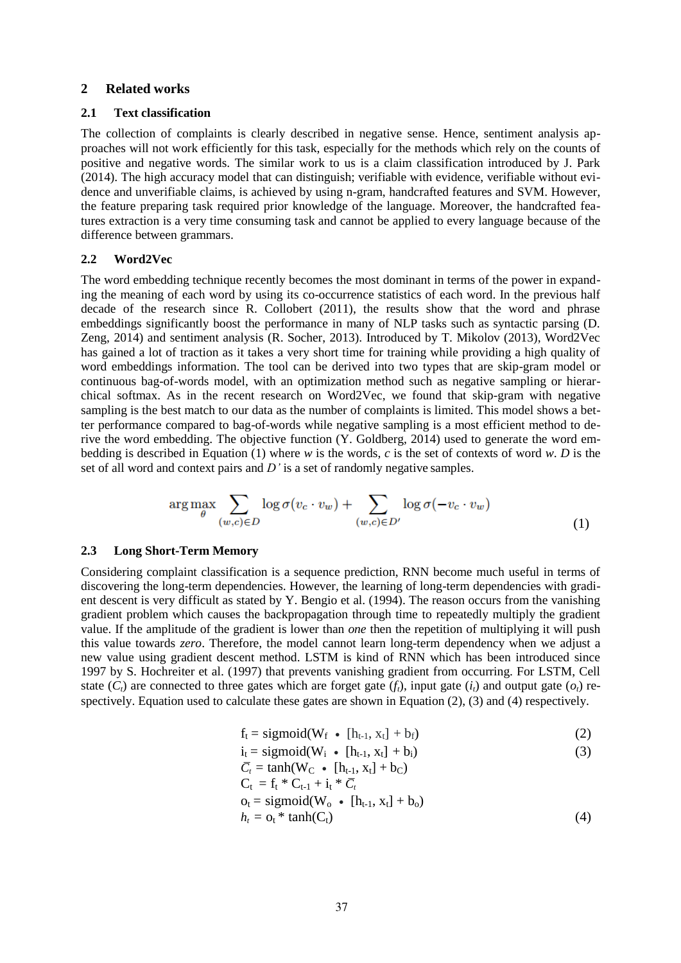### **2 Related works**

#### **2.1 Text classification**

The collection of complaints is clearly described in negative sense. Hence, sentiment analysis approaches will not work efficiently for this task, especially for the methods which rely on the counts of positive and negative words. The similar work to us is a claim classification introduced by J. Park (2014). The high accuracy model that can distinguish; verifiable with evidence, verifiable without evidence and unverifiable claims, is achieved by using n-gram, handcrafted features and SVM. However, the feature preparing task required prior knowledge of the language. Moreover, the handcrafted features extraction is a very time consuming task and cannot be applied to every language because of the difference between grammars.

# **2.2 Word2Vec**

The word embedding technique recently becomes the most dominant in terms of the power in expanding the meaning of each word by using its co-occurrence statistics of each word. In the previous half decade of the research since R. Collobert (2011), the results show that the word and phrase embeddings significantly boost the performance in many of NLP tasks such as syntactic parsing (D. Zeng, 2014) and sentiment analysis (R. Socher, 2013). Introduced by T. Mikolov (2013), Word2Vec has gained a lot of traction as it takes a very short time for training while providing a high quality of word embeddings information. The tool can be derived into two types that are skip-gram model or continuous bag-of-words model, with an optimization method such as negative sampling or hierarchical softmax. As in the recent research on Word2Vec, we found that skip-gram with negative sampling is the best match to our data as the number of complaints is limited. This model shows a better performance compared to bag-of-words while negative sampling is a most efficient method to derive the word embedding. The objective function (Y. Goldberg, 2014) used to generate the word embedding is described in Equation (1) where *w* is the words, *c* is the set of contexts of word *w*. *D* is the set of all word and context pairs and *D'* is a set of randomly negative samples.

$$
\arg\max_{\theta} \sum_{(w,c)\in D} \log \sigma(v_c \cdot v_w) + \sum_{(w,c)\in D'} \log \sigma(-v_c \cdot v_w)
$$
\n(1)

### **2.3 Long Short-Term Memory**

Considering complaint classification is a sequence prediction, RNN become much useful in terms of discovering the long-term dependencies. However, the learning of long-term dependencies with gradient descent is very difficult as stated by Y. Bengio et al. (1994). The reason occurs from the vanishing gradient problem which causes the backpropagation through time to repeatedly multiply the gradient value. If the amplitude of the gradient is lower than *one* then the repetition of multiplying it will push this value towards *zero*. Therefore, the model cannot learn long-term dependency when we adjust a new value using gradient descent method. LSTM is kind of RNN which has been introduced since 1997 by S. Hochreiter et al. (1997) that prevents vanishing gradient from occurring. For LSTM, Cell state  $(C_t)$  are connected to three gates which are forget gate  $(f_t)$ , input gate  $(i_t)$  and output gate  $(o_t)$  respectively. Equation used to calculate these gates are shown in Equation (2), (3) and (4) respectively.

$$
f_t = sigmoid(W_f \bullet [h_{t-1}, x_t] + b_f)
$$
 (2)

$$
i_{t} = sigmoid(W_{i} \cdot [h_{t-1}, x_{t}] + b_{i})
$$
  
\n
$$
C_{t} = tanh(W_{C} \cdot [h_{t-1}, x_{t}] + b_{C})
$$
  
\n
$$
C_{t} = f_{t} * C_{t-1} + i_{t} * C_{t}
$$
  
\n
$$
o_{t} = sigmoid(W_{o} \cdot [h_{t-1}, x_{t}] + b_{o})
$$
\n(3)

$$
ot = sigmoid(Wo • [ht-1, xt] + bo)
$$
  
h<sub>t</sub> = o<sub>t</sub> \* tanh(C<sub>t</sub>) (4)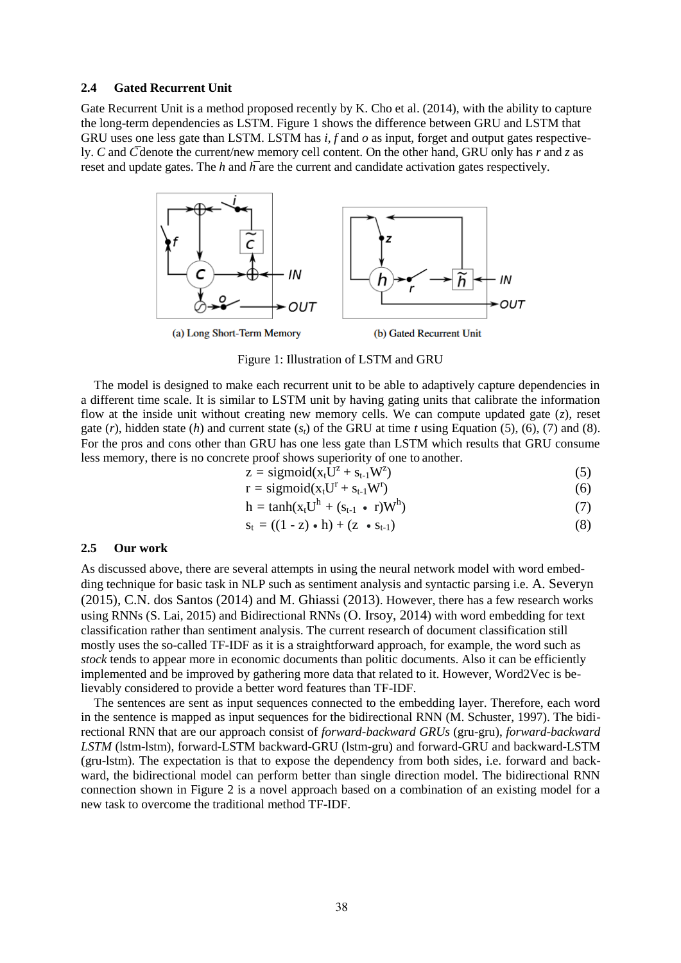### **2.4 Gated Recurrent Unit**

Gate Recurrent Unit is a method proposed recently by K. Cho et al. (2014), with the ability to capture the long-term dependencies as LSTM. Figure 1 shows the difference between GRU and LSTM that GRU uses one less gate than LSTM. LSTM has *i*, *f* and *o* as input, forget and output gates respectively. *C* and *C* denote the current/new memory cell content. On the other hand, GRU only has *r* and *z* as reset and update gates. The *h* and *h*<sup> $i$ </sup>are the current and candidate activation gates respectively.



(b) Gated Recurrent Unit

Figure 1: Illustration of LSTM and GRU

The model is designed to make each recurrent unit to be able to adaptively capture dependencies in a different time scale. It is similar to LSTM unit by having gating units that calibrate the information flow at the inside unit without creating new memory cells. We can compute updated gate (*z*)*,* reset gate  $(r)$ , hidden state  $(h)$  and current state  $(s<sub>i</sub>)$  of the GRU at time *t* using Equation (5), (6), (7) and (8). For the pros and cons other than GRU has one less gate than LSTM which results that GRU consume less memory, there is no concrete proof shows superiority of one to another.

$$
z = sigmoid(xtU2 + st-1W2)
$$
\n(5)

$$
r = sigmoid(x_tU^r + s_{t-1}W^r)
$$
\n(6)

$$
h = \tanh(x_t U^h + (s_{t-1} \cdot r)W^h) \tag{7}
$$

$$
s_t = ((1 - z) \cdot h) + (z \cdot s_{t-1}) \tag{8}
$$

### **2.5 Our work**

As discussed above, there are several attempts in using the neural network model with word embedding technique for basic task in NLP such as sentiment analysis and syntactic parsing i.e. A. Severyn (2015), C.N. dos Santos (2014) and M. Ghiassi (2013). However, there has a few research works using RNNs (S. Lai, 2015) and Bidirectional RNNs (O. Irsoy, 2014) with word embedding for text classification rather than sentiment analysis. The current research of document classification still mostly uses the so-called TF-IDF as it is a straightforward approach, for example, the word such as *stock* tends to appear more in economic documents than politic documents. Also it can be efficiently implemented and be improved by gathering more data that related to it. However, Word2Vec is believably considered to provide a better word features than TF-IDF.

The sentences are sent as input sequences connected to the embedding layer. Therefore, each word in the sentence is mapped as input sequences for the bidirectional RNN (M. Schuster, 1997). The bidirectional RNN that are our approach consist of *forward-backward GRUs* (gru-gru), *forward-backward LSTM* (lstm-lstm), forward-LSTM backward-GRU (lstm-gru) and forward-GRU and backward-LSTM (gru-lstm). The expectation is that to expose the dependency from both sides, i.e. forward and backward, the bidirectional model can perform better than single direction model. The bidirectional RNN connection shown in Figure 2 is a novel approach based on a combination of an existing model for a new task to overcome the traditional method TF-IDF.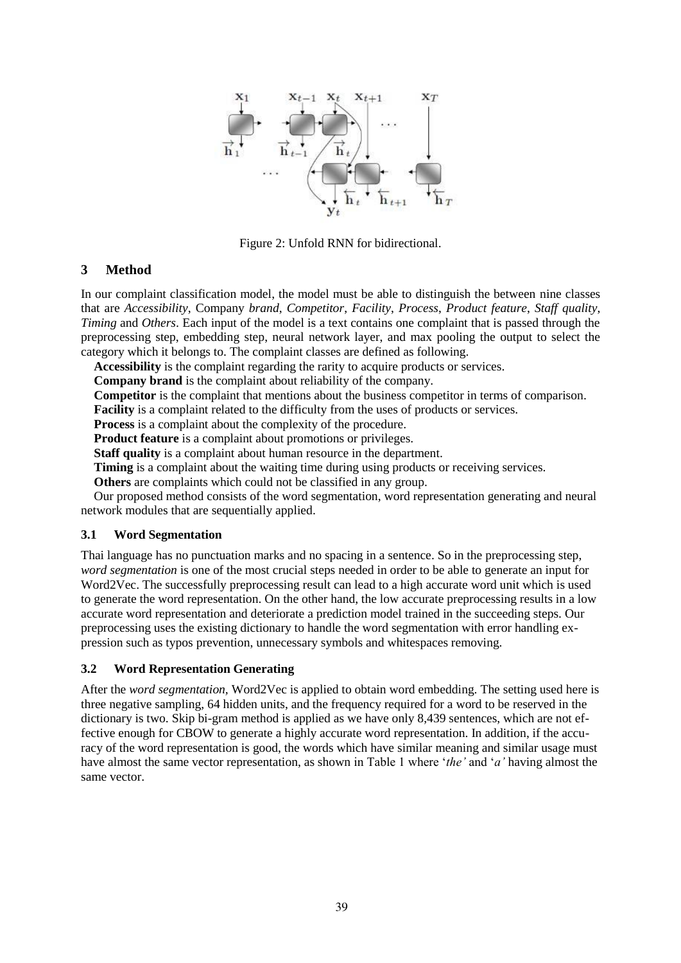

Figure 2: Unfold RNN for bidirectional.

# **3 Method**

In our complaint classification model, the model must be able to distinguish the between nine classes that are *Accessibility*, Company *brand*, *Competitor*, *Facility*, *Process*, *Product feature*, *Staff quality*, *Timing* and *Others*. Each input of the model is a text contains one complaint that is passed through the preprocessing step, embedding step, neural network layer, and max pooling the output to select the category which it belongs to. The complaint classes are defined as following.

**Accessibility** is the complaint regarding the rarity to acquire products or services.

**Company brand** is the complaint about reliability of the company.

**Competitor** is the complaint that mentions about the business competitor in terms of comparison.

**Facility** is a complaint related to the difficulty from the uses of products or services.

**Process** is a complaint about the complexity of the procedure.

**Product feature** is a complaint about promotions or privileges.

**Staff quality** is a complaint about human resource in the department.

**Timing** is a complaint about the waiting time during using products or receiving services.

**Others** are complaints which could not be classified in any group.

Our proposed method consists of the word segmentation, word representation generating and neural network modules that are sequentially applied.

### **3.1 Word Segmentation**

Thai language has no punctuation marks and no spacing in a sentence. So in the preprocessing step, *word segmentation* is one of the most crucial steps needed in order to be able to generate an input for Word2Vec. The successfully preprocessing result can lead to a high accurate word unit which is used to generate the word representation. On the other hand, the low accurate preprocessing results in a low accurate word representation and deteriorate a prediction model trained in the succeeding steps. Our preprocessing uses the existing dictionary to handle the word segmentation with error handling expression such as typos prevention, unnecessary symbols and whitespaces removing.

### **3.2 Word Representation Generating**

After the *word segmentation,* Word2Vec is applied to obtain word embedding. The setting used here is three negative sampling, 64 hidden units, and the frequency required for a word to be reserved in the dictionary is two. Skip bi-gram method is applied as we have only 8,439 sentences, which are not effective enough for CBOW to generate a highly accurate word representation. In addition, if the accuracy of the word representation is good, the words which have similar meaning and similar usage must have almost the same vector representation, as shown in Table 1 where '*the'* and '*a'* having almost the same vector.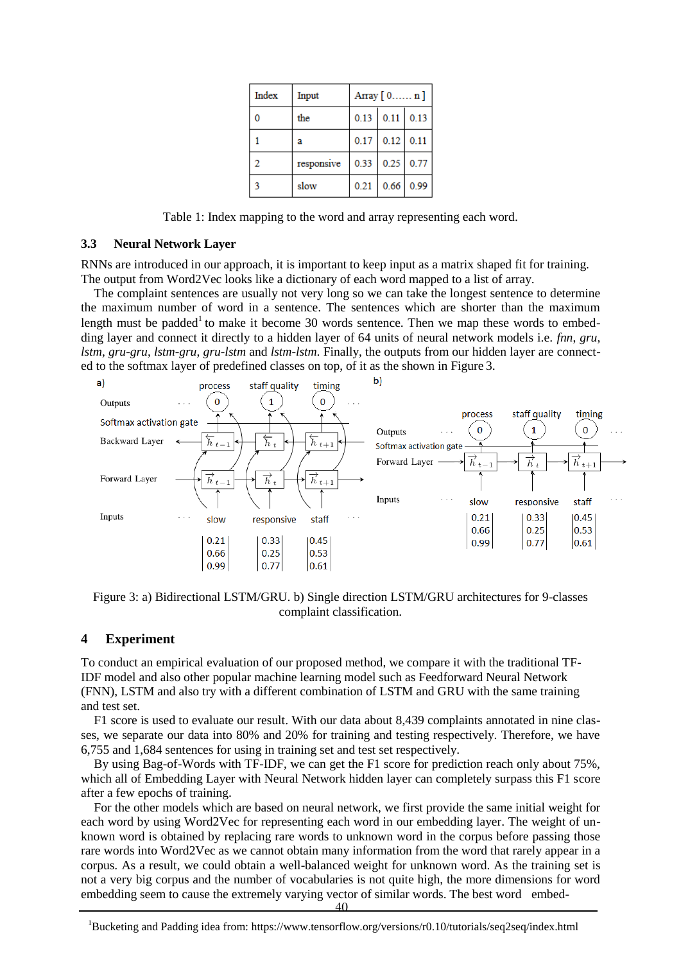| Index          | Input      | Array $[0, \ldots, n]$ |                  |      |  |  |
|----------------|------------|------------------------|------------------|------|--|--|
| 0              | the        |                        | $0.13$ 0.11 0.13 |      |  |  |
|                | a          |                        | $0.17$ 0.12 0.11 |      |  |  |
| $\overline{2}$ | responsive | 0.33                   | $0.25$ 0.77      |      |  |  |
| 3              | slow       | 0.21                   | 0.66             | 0.99 |  |  |

Table 1: Index mapping to the word and array representing each word.

## **3.3 Neural Network Layer**

RNNs are introduced in our approach, it is important to keep input as a matrix shaped fit for training. The output from Word2Vec looks like a dictionary of each word mapped to a list of array.

The complaint sentences are usually not very long so we can take the longest sentence to determine the maximum number of word in a sentence. The sentences which are shorter than the maximum length must be padded<sup>1</sup> to make it become 30 words sentence. Then we map these words to embedding layer and connect it directly to a hidden layer of 64 units of neural network models i.e. *fnn*, *gru*, *lstm*, *gru-gru*, *lstm-gru*, *gru-lstm* and *lstm-lstm*. Finally, the outputs from our hidden layer are connected to the softmax layer of predefined classes on top, of it as the shown in Figure 3.



Figure 3: a) Bidirectional LSTM/GRU. b) Single direction LSTM/GRU architectures for 9-classes complaint classification.

### **4 Experiment**

To conduct an empirical evaluation of our proposed method, we compare it with the traditional TF-IDF model and also other popular machine learning model such as Feedforward Neural Network (FNN), LSTM and also try with a different combination of LSTM and GRU with the same training and test set.

F1 score is used to evaluate our result. With our data about 8,439 complaints annotated in nine classes, we separate our data into 80% and 20% for training and testing respectively. Therefore, we have 6,755 and 1,684 sentences for using in training set and test set respectively.

By using Bag-of-Words with TF-IDF, we can get the F1 score for prediction reach only about 75%, which all of Embedding Layer with Neural Network hidden layer can completely surpass this F1 score after a few epochs of training.

For the other models which are based on neural network, we first provide the same initial weight for each word by using Word2Vec for representing each word in our embedding layer. The weight of unknown word is obtained by replacing rare words to unknown word in the corpus before passing those rare words into Word2Vec as we cannot obtain many information from the word that rarely appear in a corpus. As a result, we could obtain a well-balanced weight for unknown word. As the training set is not a very big corpus and the number of vocabularies is not quite high, the more dimensions for word embedding seem to cause the extremely varying vector of similar words. The best word embed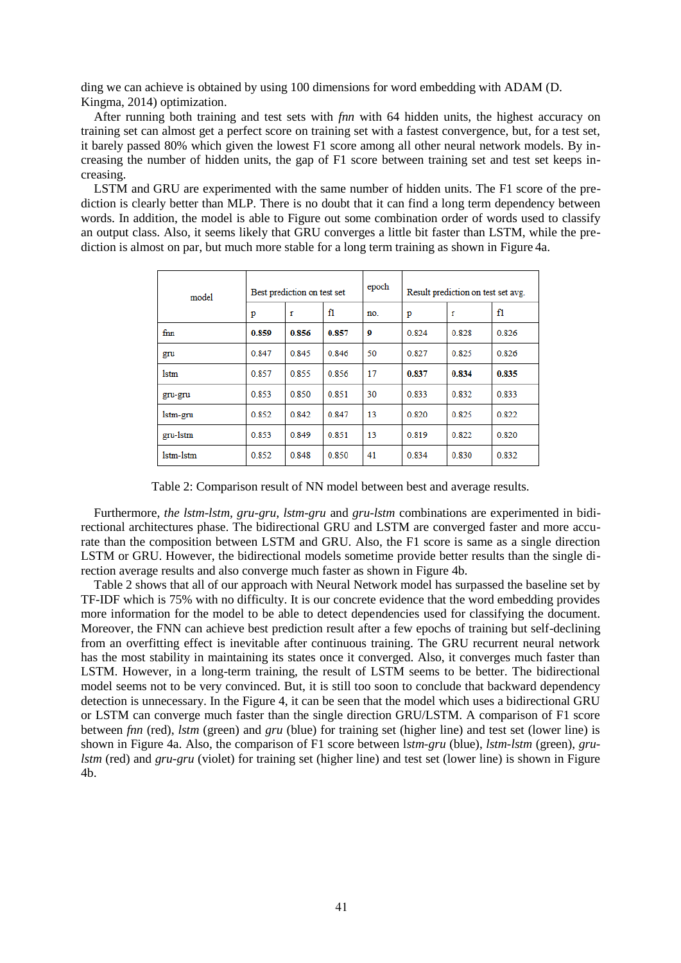ding we can achieve is obtained by using 100 dimensions for word embedding with ADAM (D. Kingma, 2014) optimization.

After running both training and test sets with *fnn* with 64 hidden units, the highest accuracy on training set can almost get a perfect score on training set with a fastest convergence, but, for a test set, it barely passed 80% which given the lowest F1 score among all other neural network models. By increasing the number of hidden units, the gap of F1 score between training set and test set keeps increasing.

LSTM and GRU are experimented with the same number of hidden units. The F1 score of the prediction is clearly better than MLP. There is no doubt that it can find a long term dependency between words. In addition, the model is able to Figure out some combination order of words used to classify an output class. Also, it seems likely that GRU converges a little bit faster than LSTM, while the prediction is almost on par, but much more stable for a long term training as shown in Figure 4a.

| model     | Best prediction on test set |       |       | epoch | Result prediction on test set avg. |       |       |
|-----------|-----------------------------|-------|-------|-------|------------------------------------|-------|-------|
|           | p                           | f     | fl    | no.   | p                                  | r     | fl    |
| fm        | 0.859                       | 0.856 | 0.857 | 9     | 0.824                              | 0.828 | 0.826 |
| gru       | 0.847                       | 0.845 | 0.846 | 50    | 0.827                              | 0.825 | 0.826 |
| lstm      | 0.857                       | 0.855 | 0.856 | 17    | 0.837                              | 0.834 | 0.835 |
| gru-gru   | 0.853                       | 0.850 | 0.851 | 30    | 0.833                              | 0.832 | 0.833 |
| lstm-gru  | 0.852                       | 0.842 | 0.847 | 13    | 0.820                              | 0.825 | 0.822 |
| gru-1stm  | 0.853                       | 0.849 | 0.851 | 13    | 0.819                              | 0.822 | 0.820 |
| lstm-lstm | 0.852                       | 0.848 | 0.850 | 41    | 0.834                              | 0.830 | 0.832 |

Table 2: Comparison result of NN model between best and average results.

Furthermore, *the lstm-lstm, gru-gru, lstm-gru* and *gru-lstm* combinations are experimented in bidirectional architectures phase. The bidirectional GRU and LSTM are converged faster and more accurate than the composition between LSTM and GRU. Also, the F1 score is same as a single direction LSTM or GRU. However, the bidirectional models sometime provide better results than the single direction average results and also converge much faster as shown in Figure 4b.

Table 2 shows that all of our approach with Neural Network model has surpassed the baseline set by TF-IDF which is 75% with no difficulty. It is our concrete evidence that the word embedding provides more information for the model to be able to detect dependencies used for classifying the document. Moreover, the FNN can achieve best prediction result after a few epochs of training but self-declining from an overfitting effect is inevitable after continuous training. The GRU recurrent neural network has the most stability in maintaining its states once it converged. Also, it converges much faster than LSTM. However, in a long-term training, the result of LSTM seems to be better. The bidirectional model seems not to be very convinced. But, it is still too soon to conclude that backward dependency detection is unnecessary. In the Figure 4, it can be seen that the model which uses a bidirectional GRU or LSTM can converge much faster than the single direction GRU/LSTM. A comparison of F1 score between *fnn* (red), *lstm* (green) and *gru* (blue) for training set (higher line) and test set (lower line) is shown in Figure 4a. Also, the comparison of F1 score between l*stm-gru* (blue), *lstm-lstm* (green), *grulstm* (red) and *gru-gru* (violet) for training set (higher line) and test set (lower line) is shown in Figure 4b.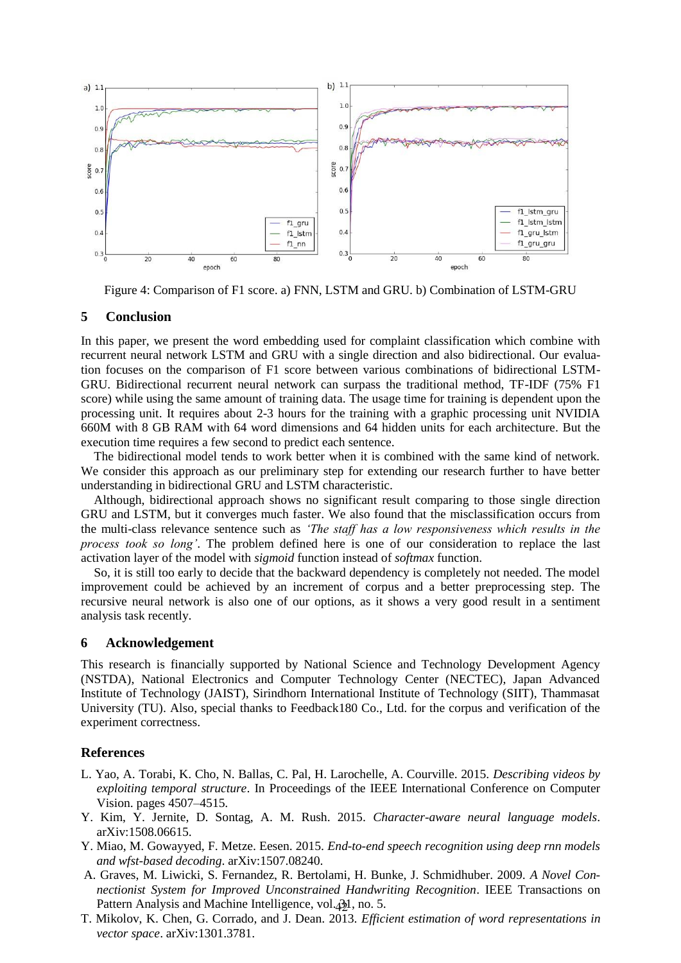

Figure 4: Comparison of F1 score. a) FNN, LSTM and GRU. b) Combination of LSTM-GRU

#### **5 Conclusion**

In this paper, we present the word embedding used for complaint classification which combine with recurrent neural network LSTM and GRU with a single direction and also bidirectional. Our evaluation focuses on the comparison of F1 score between various combinations of bidirectional LSTM-GRU. Bidirectional recurrent neural network can surpass the traditional method, TF-IDF (75% F1 score) while using the same amount of training data. The usage time for training is dependent upon the processing unit. It requires about 2-3 hours for the training with a graphic processing unit NVIDIA 660M with 8 GB RAM with 64 word dimensions and 64 hidden units for each architecture. But the execution time requires a few second to predict each sentence.

The bidirectional model tends to work better when it is combined with the same kind of network. We consider this approach as our preliminary step for extending our research further to have better understanding in bidirectional GRU and LSTM characteristic.

Although, bidirectional approach shows no significant result comparing to those single direction GRU and LSTM, but it converges much faster. We also found that the misclassification occurs from the multi-class relevance sentence such as *'The staff has a low responsiveness which results in the process took so long'*. The problem defined here is one of our consideration to replace the last activation layer of the model with *sigmoid* function instead of *softmax* function.

So, it is still too early to decide that the backward dependency is completely not needed. The model improvement could be achieved by an increment of corpus and a better preprocessing step. The recursive neural network is also one of our options, as it shows a very good result in a sentiment analysis task recently.

### **6 Acknowledgement**

This research is financially supported by National Science and Technology Development Agency (NSTDA), National Electronics and Computer Technology Center (NECTEC), Japan Advanced Institute of Technology (JAIST), Sirindhorn International Institute of Technology (SIIT), Thammasat University (TU). Also, special thanks to Feedback180 Co., Ltd. for the corpus and verification of the experiment correctness.

#### **References**

- L. Yao, A. Torabi, K. Cho, N. Ballas, C. Pal, H. Larochelle, A. Courville. 2015. *Describing videos by exploiting temporal structure*. In Proceedings of the IEEE International Conference on Computer Vision. pages 4507–4515.
- Y. Kim, Y. Jernite, D. Sontag, A. M. Rush. 2015. *Character-aware neural language models*. arXiv:1508.06615.
- Y. Miao, M. Gowayyed, F. Metze. Eesen. 2015. *End-to-end speech recognition using deep rnn models and wfst-based decoding*. arXiv:1507.08240.
- A. Graves, M. Liwicki, S. Fernandez, R. Bertolami, H. Bunke, J. Schmidhuber. 2009. *A Novel Connectionist System for Improved Unconstrained Handwriting Recognition*. IEEE Transactions on Pattern Analysis and Machine Intelligence, vol.421, no. 5.
- T. Mikolov, K. Chen, G. Corrado, and J. Dean. 2013. *Efficient estimation of word representations in vector space*. arXiv:1301.3781.